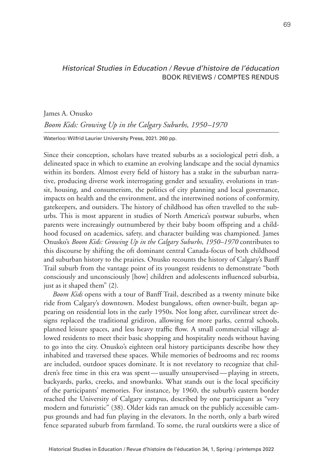## *Historical Studies in Education / Revue d'histoire de l'éducation* BOOK REVIEWS / COMPTES RENDUS

James A. Onusko *Boom Kids: Growing Up in the Calgary Suburbs, 1950–1970*

Waterloo: Wilfrid Laurier University Press, 2021. 260 pp.

Since their conception, scholars have treated suburbs as a sociological petri dish, a delineated space in which to examine an evolving landscape and the social dynamics within its borders. Almost every field of history has a stake in the suburban narrative, producing diverse work interrogating gender and sexuality, evolutions in transit, housing, and consumerism, the politics of city planning and local governance, impacts on health and the environment, and the intertwined notions of conformity, gatekeepers, and outsiders. The history of childhood has often travelled to the suburbs. This is most apparent in studies of North America's postwar suburbs, when parents were increasingly outnumbered by their baby boom offspring and a childhood focused on academics, safety, and character building was championed. James Onusko's *Boom Kids: Growing Up in the Calgary Suburbs, 1950–1970* contributes to this discourse by shifting the oft dominant central Canada-focus of both childhood and suburban history to the prairies. Onusko recounts the history of Calgary's Banff Trail suburb from the vantage point of its youngest residents to demonstrate "both consciously and unconsciously [how] children and adolescents influenced suburbia, just as it shaped them" (2).

*Boom Kids* opens with a tour of Banff Trail, described as a twenty minute bike ride from Calgary's downtown. Modest bungalows, often owner-built, began appearing on residential lots in the early 1950s. Not long after, curvilinear street designs replaced the traditional gridiron, allowing for more parks, central schools, planned leisure spaces, and less heavy traffic flow. A small commercial village allowed residents to meet their basic shopping and hospitality needs without having to go into the city. Onusko's eighteen oral history participants describe how they inhabited and traversed these spaces. While memories of bedrooms and rec rooms are included, outdoor spaces dominate. It is not revelatory to recognize that children's free time in this era was spent—usually unsupervised—playing in streets, backyards, parks, creeks, and snowbanks. What stands out is the local specificity of the participants' memories. For instance, by 1960, the suburb's eastern border reached the University of Calgary campus, described by one participant as "very modern and futuristic" (38). Older kids ran amuck on the publicly accessible campus grounds and had fun playing in the elevators. In the north, only a barb wired fence separated suburb from farmland. To some, the rural outskirts were a slice of